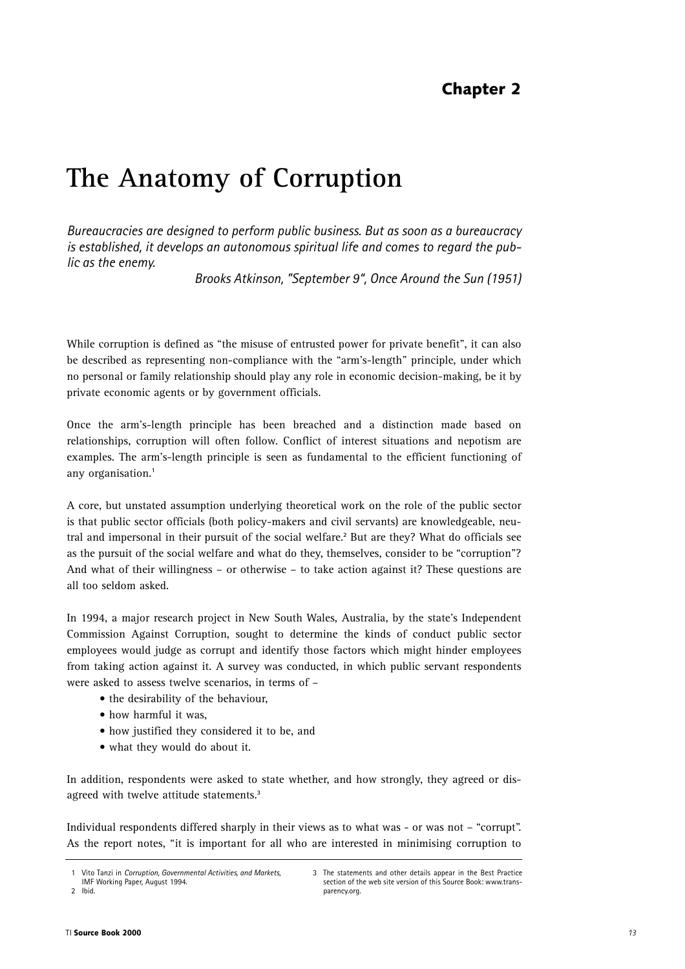## **Chapter 2**

# **The Anatomy of Corruption**

*Bureaucracies are designed to perform public business. But as soon as a bureaucracy is established, it develops an autonomous spiritual life and comes to regard the public as the enemy.*

*Brooks Atkinson, "September 9", Once Around the Sun (1951)*

While corruption is defined as "the misuse of entrusted power for private benefit", it can also be described as representing non-compliance with the "arm's-length" principle, under which no personal or family relationship should play any role in economic decision-making, be it by private economic agents or by government officials.

Once the arm's-length principle has been breached and a distinction made based on relationships, corruption will often follow. Conflict of interest situations and nepotism are examples. The arm's-length principle is seen as fundamental to the efficient functioning of any organisation.**<sup>1</sup>**

A core, but unstated assumption underlying theoretical work on the role of the public sector is that public sector officials (both policy-makers and civil servants) are knowledgeable, neutral and impersonal in their pursuit of the social welfare.**<sup>2</sup>** But are they? What do officials see as the pursuit of the social welfare and what do they, themselves, consider to be "corruption"? And what of their willingness – or otherwise – to take action against it? These questions are all too seldom asked.

In 1994, a major research project in New South Wales, Australia, by the state's Independent Commission Against Corruption, sought to determine the kinds of conduct public sector employees would judge as corrupt and identify those factors which might hinder employees from taking action against it. A survey was conducted, in which public servant respondents were asked to assess twelve scenarios, in terms of –

- the desirability of the behaviour,
- how harmful it was,
- how justified they considered it to be, and
- what they would do about it.

In addition, respondents were asked to state whether, and how strongly, they agreed or disagreed with twelve attitude statements.**<sup>3</sup>**

Individual respondents differed sharply in their views as to what was - or was not – "corrupt". As the report notes, "it is important for all who are interested in minimising corruption to

<sup>1</sup> Vito Tanzi in *Corruption, Governmental Activities, and Markets*, IMF Working Paper, August 1994.

<sup>2</sup> Ibid.

<sup>3</sup> The statements and other details appear in the Best Practice section of the web site version of this Source Book: www.transparency.org.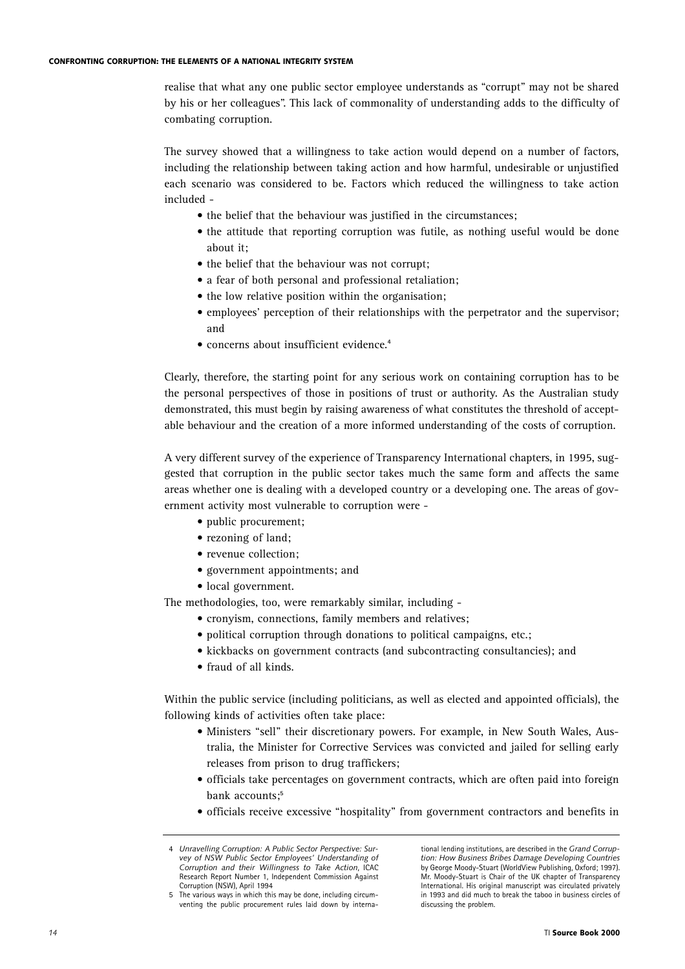realise that what any one public sector employee understands as "corrupt" may not be shared by his or her colleagues". This lack of commonality of understanding adds to the difficulty of combating corruption.

The survey showed that a willingness to take action would depend on a number of factors, including the relationship between taking action and how harmful, undesirable or unjustified each scenario was considered to be. Factors which reduced the willingness to take action included -

- the belief that the behaviour was justified in the circumstances;
- the attitude that reporting corruption was futile, as nothing useful would be done about it;
- the belief that the behaviour was not corrupt;
- a fear of both personal and professional retaliation;
- the low relative position within the organisation;
- employees' perception of their relationships with the perpetrator and the supervisor; and
- concerns about insufficient evidence.**<sup>4</sup>**

Clearly, therefore, the starting point for any serious work on containing corruption has to be the personal perspectives of those in positions of trust or authority. As the Australian study demonstrated, this must begin by raising awareness of what constitutes the threshold of acceptable behaviour and the creation of a more informed understanding of the costs of corruption.

A very different survey of the experience of Transparency International chapters, in 1995, suggested that corruption in the public sector takes much the same form and affects the same areas whether one is dealing with a developed country or a developing one. The areas of government activity most vulnerable to corruption were -

- public procurement;
- rezoning of land;
- revenue collection;
- government appointments; and
- local government.

The methodologies, too, were remarkably similar, including -

- cronyism, connections, family members and relatives;
- political corruption through donations to political campaigns, etc.;
- kickbacks on government contracts (and subcontracting consultancies); and
- fraud of all kinds.

Within the public service (including politicians, as well as elected and appointed officials), the following kinds of activities often take place:

- Ministers "sell" their discretionary powers. For example, in New South Wales, Australia, the Minister for Corrective Services was convicted and jailed for selling early releases from prison to drug traffickers;
- officials take percentages on government contracts, which are often paid into foreign bank accounts;**<sup>5</sup>**
- officials receive excessive "hospitality" from government contractors and benefits in

tional lending institutions, are described in the *Grand Corruption: How Business Bribes Damage Developing Countries* by George Moody-Stuart (WorldView Publishing, Oxford; 1997). Mr. Moody-Stuart is Chair of the UK chapter of Transparency International. His original manuscript was circulated privately in 1993 and did much to break the taboo in business circles of discussing the problem.

<sup>4</sup> *Unravelling Corruption: A Public Sector Perspective: Survey of NSW Public Sector Employees' Understanding of Corruption and their Willingness to Take Action*, ICAC Research Report Number 1, Independent Commission Against Corruption (NSW), April 1994

<sup>5</sup> The various ways in which this may be done, including circumventing the public procurement rules laid down by interna-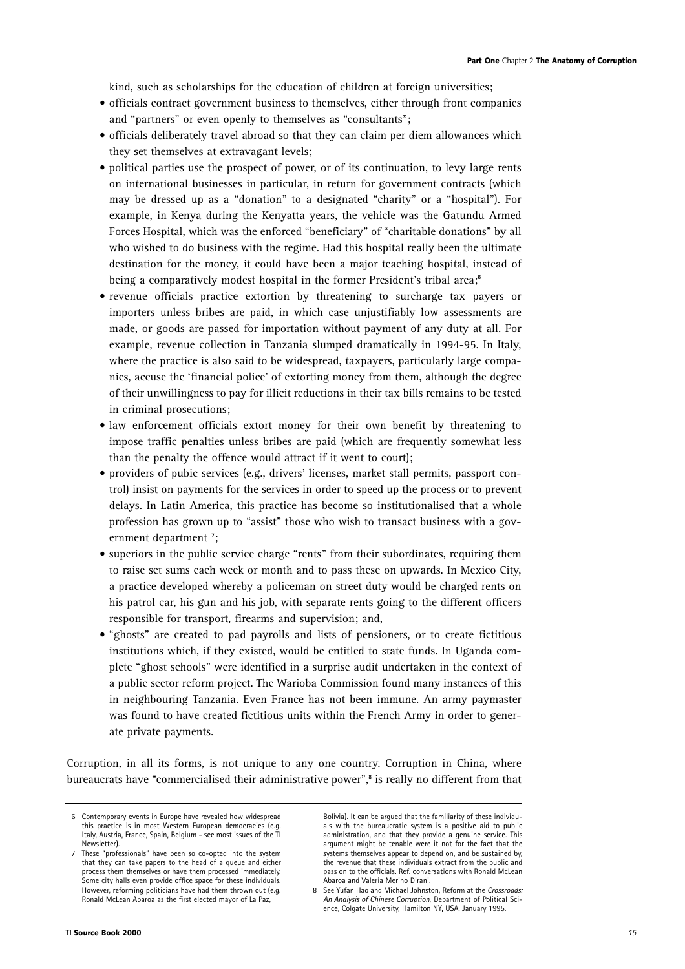kind, such as scholarships for the education of children at foreign universities;

- officials contract government business to themselves, either through front companies and "partners" or even openly to themselves as "consultants";
- officials deliberately travel abroad so that they can claim per diem allowances which they set themselves at extravagant levels;
- political parties use the prospect of power, or of its continuation, to levy large rents on international businesses in particular, in return for government contracts (which may be dressed up as a "donation" to a designated "charity" or a "hospital"). For example, in Kenya during the Kenyatta years, the vehicle was the Gatundu Armed Forces Hospital, which was the enforced "beneficiary" of "charitable donations" by all who wished to do business with the regime. Had this hospital really been the ultimate destination for the money, it could have been a major teaching hospital, instead of being a comparatively modest hospital in the former President's tribal area;**<sup>6</sup>**
- revenue officials practice extortion by threatening to surcharge tax payers or importers unless bribes are paid, in which case unjustifiably low assessments are made, or goods are passed for importation without payment of any duty at all. For example, revenue collection in Tanzania slumped dramatically in 1994-95. In Italy, where the practice is also said to be widespread, taxpayers, particularly large companies, accuse the 'financial police' of extorting money from them, although the degree of their unwillingness to pay for illicit reductions in their tax bills remains to be tested in criminal prosecutions;
- law enforcement officials extort money for their own benefit by threatening to impose traffic penalties unless bribes are paid (which are frequently somewhat less than the penalty the offence would attract if it went to court);
- providers of pubic services (e.g., drivers' licenses, market stall permits, passport control) insist on payments for the services in order to speed up the process or to prevent delays. In Latin America, this practice has become so institutionalised that a whole profession has grown up to "assist" those who wish to transact business with a government department **<sup>7</sup>** ;
- superiors in the public service charge "rents" from their subordinates, requiring them to raise set sums each week or month and to pass these on upwards. In Mexico City, a practice developed whereby a policeman on street duty would be charged rents on his patrol car, his gun and his job, with separate rents going to the different officers responsible for transport, firearms and supervision; and,
- "ghosts" are created to pad payrolls and lists of pensioners, or to create fictitious institutions which, if they existed, would be entitled to state funds. In Uganda complete "ghost schools" were identified in a surprise audit undertaken in the context of a public sector reform project. The Warioba Commission found many instances of this in neighbouring Tanzania. Even France has not been immune. An army paymaster was found to have created fictitious units within the French Army in order to generate private payments.

Corruption, in all its forms, is not unique to any one country. Corruption in China, where bureaucrats have "commercialised their administrative power",**<sup>8</sup>** is really no different from that

<sup>6</sup> Contemporary events in Europe have revealed how widespread this practice is in most Western European democracies (e.g. Italy, Austria, France, Spain, Belgium - see most issues of the TI Newsletter).

<sup>7</sup> These "professionals" have been so co-opted into the system that they can take papers to the head of a queue and either process them themselves or have them processed immediately. Some city halls even provide office space for these individuals. However, reforming politicians have had them thrown out (e.g. Ronald McLean Abaroa as the first elected mayor of La Paz,

Bolivia). It can be argued that the familiarity of these individuals with the bureaucratic system is a positive aid to public administration, and that they provide a genuine service. This argument might be tenable were it not for the fact that the systems themselves appear to depend on, and be sustained by, the revenue that these individuals extract from the public and pass on to the officials. Ref. conversations with Ronald McLean Abaroa and Valeria Merino Dirani.

<sup>8</sup> See Yufan Hao and Michael Johnston, Reform at the *Crossroads: An Analysis of Chinese Corruption*, Department of Political Science, Colgate University, Hamilton NY, USA, January 1995.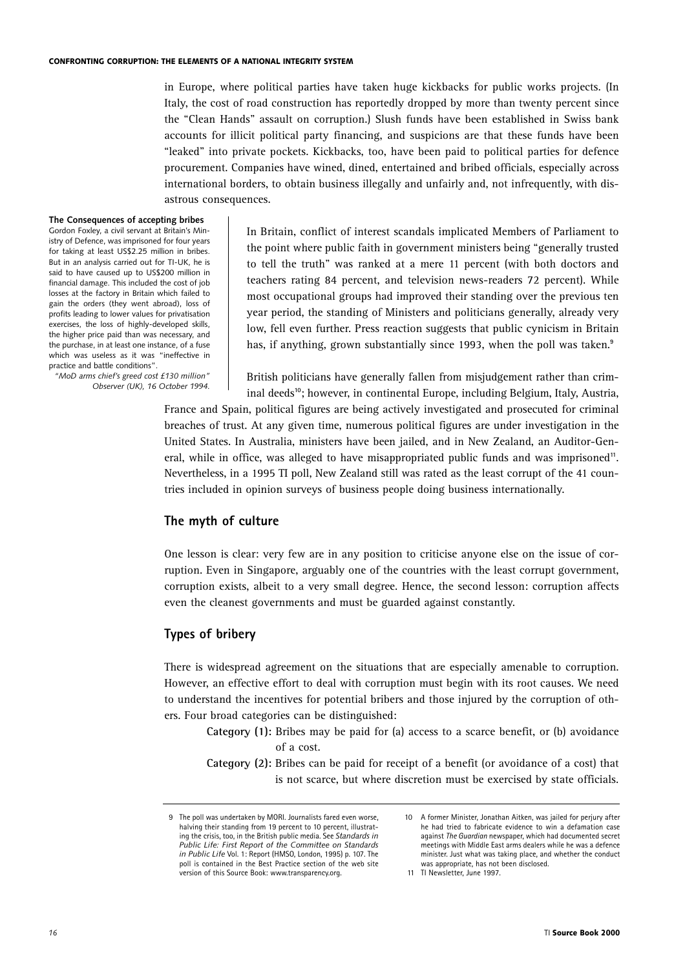in Europe, where political parties have taken huge kickbacks for public works projects. (In Italy, the cost of road construction has reportedly dropped by more than twenty percent since the "Clean Hands" assault on corruption.) Slush funds have been established in Swiss bank accounts for illicit political party financing, and suspicions are that these funds have been "leaked" into private pockets. Kickbacks, too, have been paid to political parties for defence procurement. Companies have wined, dined, entertained and bribed officials, especially across international borders, to obtain business illegally and unfairly and, not infrequently, with disastrous consequences.

**The Consequences of accepting bribes** Gordon Foxley, a civil servant at Britain's Ministry of Defence, was imprisoned for four years for taking at least US\$2.25 million in bribes. But in an analysis carried out for TI-UK, he is said to have caused up to US\$200 million in financial damage. This included the cost of job losses at the factory in Britain which failed to gain the orders (they went abroad), loss of profits leading to lower values for privatisation exercises, the loss of highly-developed skills, the higher price paid than was necessary, and the purchase, in at least one instance, of a fuse which was useless as it was "ineffective in practice and battle conditions".

*"MoD arms chief's greed cost £130 million" Observer (UK), 16 October 1994.* In Britain, conflict of interest scandals implicated Members of Parliament to the point where public faith in government ministers being "generally trusted to tell the truth" was ranked at a mere 11 percent (with both doctors and teachers rating 84 percent, and television news-readers 72 percent). While most occupational groups had improved their standing over the previous ten year period, the standing of Ministers and politicians generally, already very low, fell even further. Press reaction suggests that public cynicism in Britain has, if anything, grown substantially since 1993, when the poll was taken.**<sup>9</sup>**

British politicians have generally fallen from misjudgement rather than criminal deeds**<sup>10</sup>**; however, in continental Europe, including Belgium, Italy, Austria,

France and Spain, political figures are being actively investigated and prosecuted for criminal breaches of trust. At any given time, numerous political figures are under investigation in the United States. In Australia, ministers have been jailed, and in New Zealand, an Auditor-General, while in office, was alleged to have misappropriated public funds and was imprisoned**<sup>11</sup>**. Nevertheless, in a 1995 TI poll, New Zealand still was rated as the least corrupt of the 41 countries included in opinion surveys of business people doing business internationally.

#### **The myth of culture**

One lesson is clear: very few are in any position to criticise anyone else on the issue of corruption. Even in Singapore, arguably one of the countries with the least corrupt government, corruption exists, albeit to a very small degree. Hence, the second lesson: corruption affects even the cleanest governments and must be guarded against constantly.

#### **Types of bribery**

There is widespread agreement on the situations that are especially amenable to corruption. However, an effective effort to deal with corruption must begin with its root causes. We need to understand the incentives for potential bribers and those injured by the corruption of others. Four broad categories can be distinguished:

- **Category (1):** Bribes may be paid for (a) access to a scarce benefit, or (b) avoidance of a cost.
- **Category (2):** Bribes can be paid for receipt of a benefit (or avoidance of a cost) that is not scarce, but where discretion must be exercised by state officials.

11 TI Newsletter, June 1997.

<sup>9</sup> The poll was undertaken by MORI. Journalists fared even worse, halving their standing from 19 percent to 10 percent, illustrating the crisis, too, in the British public media. See *Standards in Public Life: First Report of the Committee on Standards in Public Life* Vol. 1: Report (HMSO, London, 1995) p. 107. The poll is contained in the Best Practice section of the web site version of this Source Book: www.transparency.org.

<sup>10</sup> A former Minister, Jonathan Aitken, was jailed for perjury after he had tried to fabricate evidence to win a defamation case against *The Guardian* newspaper, which had documented secret meetings with Middle East arms dealers while he was a defence minister. Just what was taking place, and whether the conduct was appropriate, has not been disclosed.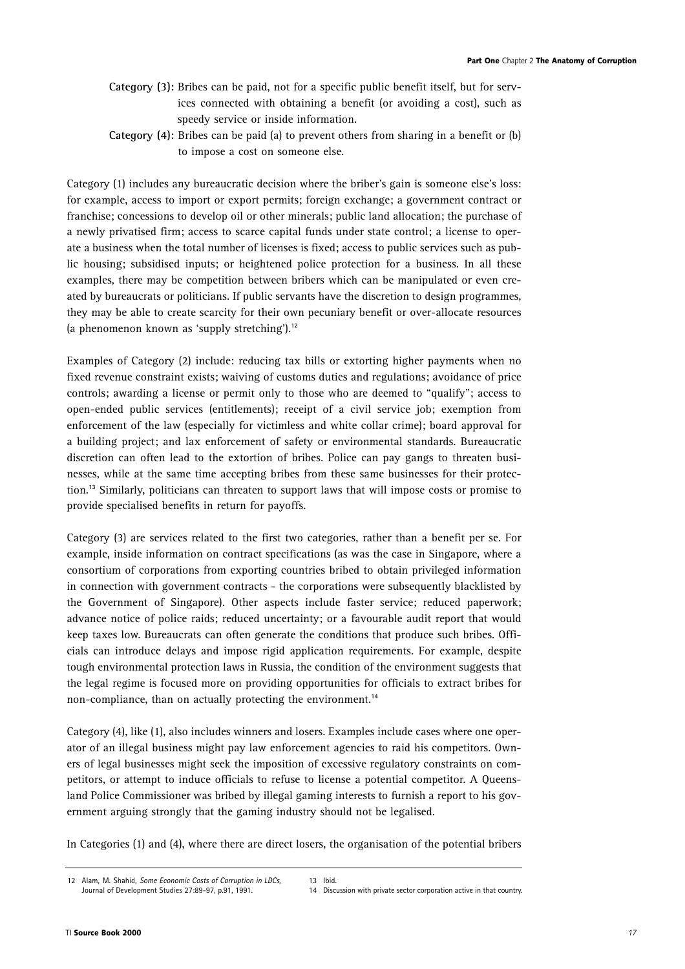- **Category (3):** Bribes can be paid, not for a specific public benefit itself, but for services connected with obtaining a benefit (or avoiding a cost), such as speedy service or inside information.
- **Category (4):** Bribes can be paid (a) to prevent others from sharing in a benefit or (b) to impose a cost on someone else.

Category (1) includes any bureaucratic decision where the briber's gain is someone else's loss: for example, access to import or export permits; foreign exchange; a government contract or franchise; concessions to develop oil or other minerals; public land allocation; the purchase of a newly privatised firm; access to scarce capital funds under state control; a license to operate a business when the total number of licenses is fixed; access to public services such as public housing; subsidised inputs; or heightened police protection for a business. In all these examples, there may be competition between bribers which can be manipulated or even created by bureaucrats or politicians. If public servants have the discretion to design programmes, they may be able to create scarcity for their own pecuniary benefit or over-allocate resources (a phenomenon known as 'supply stretching').**<sup>12</sup>**

Examples of Category (2) include: reducing tax bills or extorting higher payments when no fixed revenue constraint exists; waiving of customs duties and regulations; avoidance of price controls; awarding a license or permit only to those who are deemed to "qualify"; access to open-ended public services (entitlements); receipt of a civil service job; exemption from enforcement of the law (especially for victimless and white collar crime); board approval for a building project; and lax enforcement of safety or environmental standards. Bureaucratic discretion can often lead to the extortion of bribes. Police can pay gangs to threaten businesses, while at the same time accepting bribes from these same businesses for their protection.**<sup>13</sup>** Similarly, politicians can threaten to support laws that will impose costs or promise to provide specialised benefits in return for payoffs.

Category (3) are services related to the first two categories, rather than a benefit per se. For example, inside information on contract specifications (as was the case in Singapore, where a consortium of corporations from exporting countries bribed to obtain privileged information in connection with government contracts - the corporations were subsequently blacklisted by the Government of Singapore). Other aspects include faster service; reduced paperwork; advance notice of police raids; reduced uncertainty; or a favourable audit report that would keep taxes low. Bureaucrats can often generate the conditions that produce such bribes. Officials can introduce delays and impose rigid application requirements. For example, despite tough environmental protection laws in Russia, the condition of the environment suggests that the legal regime is focused more on providing opportunities for officials to extract bribes for non-compliance, than on actually protecting the environment.**<sup>14</sup>**

Category (4), like (1), also includes winners and losers. Examples include cases where one operator of an illegal business might pay law enforcement agencies to raid his competitors. Owners of legal businesses might seek the imposition of excessive regulatory constraints on competitors, or attempt to induce officials to refuse to license a potential competitor. A Queensland Police Commissioner was bribed by illegal gaming interests to furnish a report to his government arguing strongly that the gaming industry should not be legalised.

In Categories (1) and (4), where there are direct losers, the organisation of the potential bribers

<sup>12</sup> Alam, M. Shahid, *Some Economic Costs of Corruption in LDCs*, Journal of Development Studies 27:89-97, p.91, 1991.

<sup>14</sup> Discussion with private sector corporation active in that country.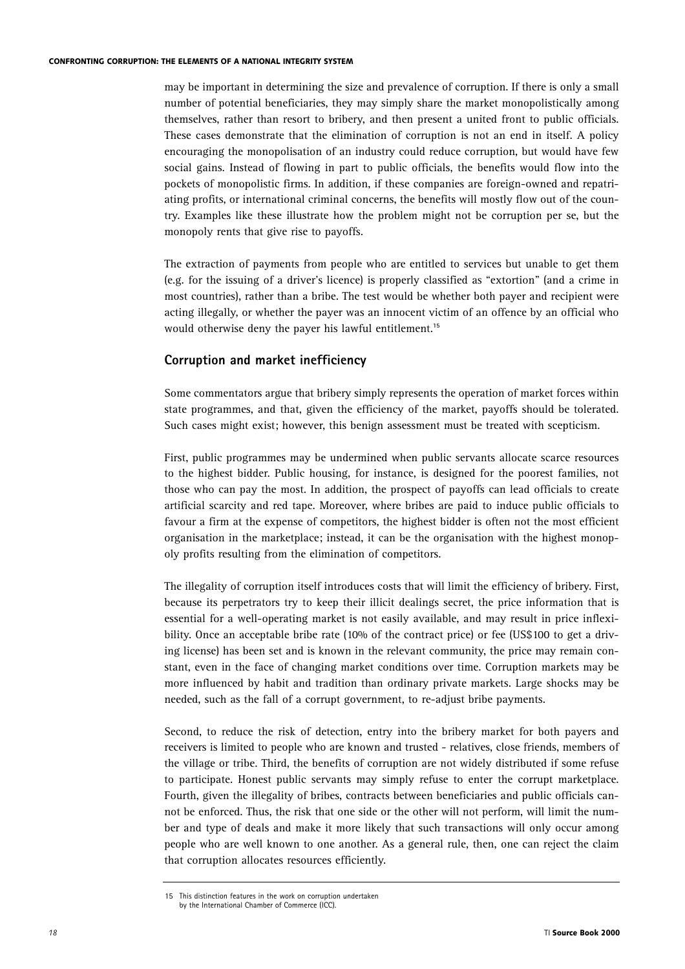may be important in determining the size and prevalence of corruption. If there is only a small number of potential beneficiaries, they may simply share the market monopolistically among themselves, rather than resort to bribery, and then present a united front to public officials. These cases demonstrate that the elimination of corruption is not an end in itself. A policy encouraging the monopolisation of an industry could reduce corruption, but would have few social gains. Instead of flowing in part to public officials, the benefits would flow into the pockets of monopolistic firms. In addition, if these companies are foreign-owned and repatriating profits, or international criminal concerns, the benefits will mostly flow out of the country. Examples like these illustrate how the problem might not be corruption per se, but the monopoly rents that give rise to payoffs.

The extraction of payments from people who are entitled to services but unable to get them (e.g. for the issuing of a driver's licence) is properly classified as "extortion" (and a crime in most countries), rather than a bribe. The test would be whether both payer and recipient were acting illegally, or whether the payer was an innocent victim of an offence by an official who would otherwise deny the payer his lawful entitlement.**<sup>15</sup>**

### **Corruption and market inefficiency**

Some commentators argue that bribery simply represents the operation of market forces within state programmes, and that, given the efficiency of the market, payoffs should be tolerated. Such cases might exist; however, this benign assessment must be treated with scepticism.

First, public programmes may be undermined when public servants allocate scarce resources to the highest bidder. Public housing, for instance, is designed for the poorest families, not those who can pay the most. In addition, the prospect of payoffs can lead officials to create artificial scarcity and red tape. Moreover, where bribes are paid to induce public officials to favour a firm at the expense of competitors, the highest bidder is often not the most efficient organisation in the marketplace; instead, it can be the organisation with the highest monopoly profits resulting from the elimination of competitors.

The illegality of corruption itself introduces costs that will limit the efficiency of bribery. First, because its perpetrators try to keep their illicit dealings secret, the price information that is essential for a well-operating market is not easily available, and may result in price inflexibility. Once an acceptable bribe rate (10% of the contract price) or fee (US\$100 to get a driving license) has been set and is known in the relevant community, the price may remain constant, even in the face of changing market conditions over time. Corruption markets may be more influenced by habit and tradition than ordinary private markets. Large shocks may be needed, such as the fall of a corrupt government, to re-adjust bribe payments.

Second, to reduce the risk of detection, entry into the bribery market for both payers and receivers is limited to people who are known and trusted - relatives, close friends, members of the village or tribe. Third, the benefits of corruption are not widely distributed if some refuse to participate. Honest public servants may simply refuse to enter the corrupt marketplace. Fourth, given the illegality of bribes, contracts between beneficiaries and public officials cannot be enforced. Thus, the risk that one side or the other will not perform, will limit the number and type of deals and make it more likely that such transactions will only occur among people who are well known to one another. As a general rule, then, one can reject the claim that corruption allocates resources efficiently.

<sup>15</sup> This distinction features in the work on corruption undertaken by the International Chamber of Commerce (ICC).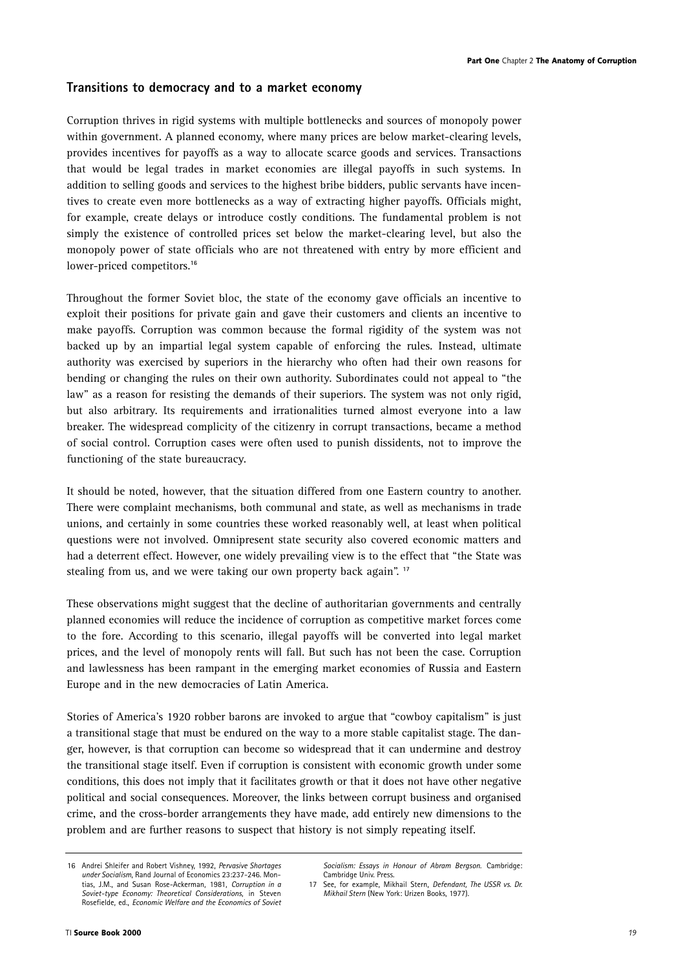#### **Transitions to democracy and to a market economy**

Corruption thrives in rigid systems with multiple bottlenecks and sources of monopoly power within government. A planned economy, where many prices are below market-clearing levels, provides incentives for payoffs as a way to allocate scarce goods and services. Transactions that would be legal trades in market economies are illegal payoffs in such systems. In addition to selling goods and services to the highest bribe bidders, public servants have incentives to create even more bottlenecks as a way of extracting higher payoffs. Officials might, for example, create delays or introduce costly conditions. The fundamental problem is not simply the existence of controlled prices set below the market-clearing level, but also the monopoly power of state officials who are not threatened with entry by more efficient and lower-priced competitors.**<sup>16</sup>**

Throughout the former Soviet bloc, the state of the economy gave officials an incentive to exploit their positions for private gain and gave their customers and clients an incentive to make payoffs. Corruption was common because the formal rigidity of the system was not backed up by an impartial legal system capable of enforcing the rules. Instead, ultimate authority was exercised by superiors in the hierarchy who often had their own reasons for bending or changing the rules on their own authority. Subordinates could not appeal to "the law" as a reason for resisting the demands of their superiors. The system was not only rigid, but also arbitrary. Its requirements and irrationalities turned almost everyone into a law breaker. The widespread complicity of the citizenry in corrupt transactions, became a method of social control. Corruption cases were often used to punish dissidents, not to improve the functioning of the state bureaucracy.

It should be noted, however, that the situation differed from one Eastern country to another. There were complaint mechanisms, both communal and state, as well as mechanisms in trade unions, and certainly in some countries these worked reasonably well, at least when political questions were not involved. Omnipresent state security also covered economic matters and had a deterrent effect. However, one widely prevailing view is to the effect that "the State was stealing from us, and we were taking our own property back again". **<sup>17</sup>**

These observations might suggest that the decline of authoritarian governments and centrally planned economies will reduce the incidence of corruption as competitive market forces come to the fore. According to this scenario, illegal payoffs will be converted into legal market prices, and the level of monopoly rents will fall. But such has not been the case. Corruption and lawlessness has been rampant in the emerging market economies of Russia and Eastern Europe and in the new democracies of Latin America.

Stories of America's 1920 robber barons are invoked to argue that "cowboy capitalism" is just a transitional stage that must be endured on the way to a more stable capitalist stage. The danger, however, is that corruption can become so widespread that it can undermine and destroy the transitional stage itself. Even if corruption is consistent with economic growth under some conditions, this does not imply that it facilitates growth or that it does not have other negative political and social consequences. Moreover, the links between corrupt business and organised crime, and the cross-border arrangements they have made, add entirely new dimensions to the problem and are further reasons to suspect that history is not simply repeating itself.

*Socialism: Essays in Honour of Abram Bergson*. Cambridge: Cambridge Univ. Press.

<sup>16</sup> Andrei Shleifer and Robert Vishney, 1992, *Pervasive Shortages under Socialism*, Rand Journal of Economics 23:237-246. Montias, J.M., and Susan Rose-Ackerman, 1981, *Corruption in a Soviet-type Economy: Theoretical Considerations*, in Steven Rosefielde, ed., *Economic Welfare and the Economics of Soviet*

<sup>17</sup> See, for example, Mikhail Stern, *Defendant, The USSR vs. Dr. Mikhail Stern* (New York: Urizen Books, 1977).